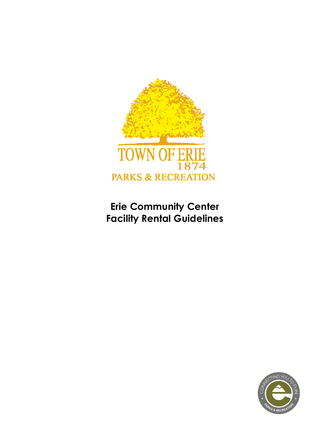

# **Erie Community Center Facility Rental Guidelines**

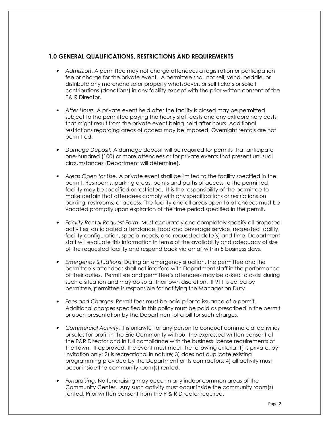# **1.0 GENERAL QUALIFICATIONS, RESTRICTIONS AND REQUIREMENTS**

- *Admission*. A permittee may not charge attendees a registration or participation fee or charge for the private event. A permittee shall not sell, vend, peddle, or distribute any merchandise or property whatsoever, or sell tickets or solicit contributions (donations) in any facility except with the prior written consent of the P& R Director.
- *After Hours.* A private event held after the facility is closed may be permitted subject to the permittee paying the hourly staff costs and any extraordinary costs that might result from the private event being held after hours. Additional restrictions regarding areas of access may be imposed. Overnight rentals are not permitted.
- • *Damage Deposit.* A damage deposit will be required for permits that anticipate one-hundred (100) or more attendees or for private events that present unusual circumstances (Department will determine).
- *Areas Open for Use.* A private event shall be limited to the facility specified in the permit. Restrooms, parking areas, points and paths of access to the permitted facility may be specified or restricted. It is the responsibility of the permittee to make certain that attendees comply with any specifications or restrictions on parking, restrooms, or access. The facility and all areas open to attendees must be vacated promptly upon expiration of the time period specified in the permit.
- *Facility Rental Request Form.* Must accurately and completely specify all proposed activities, anticipated attendance, food and beverage service, requested facility, facility configuration, special needs, and requested date(s) and time. Department staff will evaluate this information in terms of the availability and adequacy of size of the requested facility and respond back via email within 5 business days.
- • *Emergency Situations*. During an emergency situation, the permittee and the permittee's attendees shall not interfere with Department staff in the performance of their duties. Permittee and permittee's attendees may be asked to assist during such a situation and may do so at their own discretion. If 911 is called by permittee, permittee is responsible for notifying the Manager on Duty.
- *Fees and Charges*. Permit fees must be paid prior to issuance of a permit. Additional charges specified in this policy must be paid as prescribed in the permit or upon presentation by the Department of a bill for such charges.
- *Commercial Activity.* It is unlawful for any person to conduct commercial activities or sales for profit in the Erie Community without the expressed written consent of the P&R Director and in full compliance with the business license requirements of the Town. If approved, the event must meet the following criteria: 1) is private, by invitation only; 2) is recreational in nature; 3) does not duplicate existing programming provided by the Department or its contractors; 4) all activity must occur inside the community room(s) rented.
- • *Fundraising.* No fundraising may occur in any indoor common areas of the Community Center. Any such activity must occur inside the community room(s) rented. Prior written consent from the P & R Director required.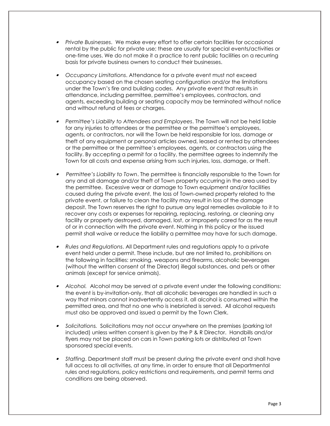- *Private Businesses*. We make every effort to offer certain facilities for occasional rental by the public for private use; these are usually for special events/activities or one-time uses. We do not make it a practice to rent public facilities on a recurring basis for private business owners to conduct their businesses.
- *Occupancy Limitations*. Attendance for a private event must not exceed occupancy based on the chosen seating configuration and/or the limitations under the Town's fire and building codes. Any private event that results in attendance, including permittee, permittee's employees, contractors, and agents, exceeding building or seating capacity may be terminated without notice and without refund of fees or charges.
- • *Permittee's Liability to Attendees and Employees*. The Town will not be held liable for any injuries to attendees or the permittee or the permittee's employees, agents, or contractors, nor will the Town be held responsible for loss, damage or theft of any equipment or personal articles owned, leased or rented by attendees or the permittee or the permittee's employees, agents, or contractors using the facility. By accepting a permit for a facility, the permittee agrees to indemnify the Town for all costs and expense arising from such injuries, loss, damage, or theft.
- • *Permittee's Liability to Town*. The permittee is financially responsible to the Town for any and all damage and/or theft of Town property occurring in the area used by the permittee. Excessive wear or damage to Town equipment and/or facilities caused during the private event, the loss of Town-owned property related to the private event, or failure to clean the facility may result in loss of the damage deposit. The Town reserves the right to pursue any legal remedies available to it to recover any costs or expenses for repairing, replacing, restoring, or cleaning any facility or property destroyed, damaged, lost, or improperly cared for as the result of or in connection with the private event. Nothing in this policy or the issued permit shall waive or reduce the liability a permittee may have for such damage.
- • *Rules and Regulations*. All Department rules and regulations apply to a private event held under a permit. These include, but are not limited to, prohibitions on the following in facilities: smoking, weapons and firearms, alcoholic beverages (without the written consent of the Director) illegal substances, and pets or other animals (except for service animals).
- • *Alcohol.* Alcohol may be served at a private event under the following conditions: the event is by-invitation-only, that all alcoholic beverages are handled in such a way that minors cannot inadvertently access it, all alcohol is consumed within the permitted area, and that no one who is inebriated is served. All alcohol requests must also be approved and issued a permit by the Town Clerk.
- • *Solicitations.* Solicitations may not occur anywhere on the premises (parking lot included) unless written consent is given by the P & R Director. Handbills and/or flyers may not be placed on cars in Town parking lots or distributed at Town sponsored special events.
- • *Staffing*. Department staff must be present during the private event and shall have full access to all activities, at any time, in order to ensure that all Departmental rules and regulations, policy restrictions and requirements, and permit terms and conditions are being observed.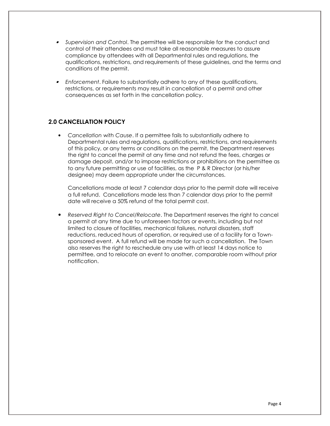- • *Supervision and Control*. The permittee will be responsible for the conduct and control of their attendees and must take all reasonable measures to assure compliance by attendees with all Departmental rules and regulations, the qualifications, restrictions, and requirements of these guidelines, and the terms and conditions of the permit.
- *Enforcement*. Failure to substantially adhere to any of these qualifications, restrictions, or requirements may result in cancellation of a permit and other consequences as set forth in the cancellation policy.

# **2.0 CANCELLATION POLICY**

• *Cancellation with Cause*. If a permittee fails to substantially adhere to Departmental rules and regulations, qualifications, restrictions, and requirements of this policy, or any terms or conditions on the permit, the Department reserves the right to cancel the permit at any time and not refund the fees, charges or damage deposit, and/or to impose restrictions or prohibitions on the permittee as to any future permitting or use of facilities, as the P & R Director (or his/her designee) may deem appropriate under the circumstances.

Cancellations made at least 7 calendar days prior to the permit date will receive a full refund. Cancellations made less than 7 calendar days prior to the permit date will receive a 50% refund of the total permit cost.

• *Reserved Right to Cancel/Relocate*. The Department reserves the right to cancel a permit at any time due to unforeseen factors or events, including but not limited to closure of facilities, mechanical failures, natural disasters, staff reductions, reduced hours of operation, or required use of a facility for a Townsponsored event. A full refund will be made for such a cancellation. The Town also reserves the right to reschedule any use with at least 14 days notice to permittee, and to relocate an event to another, comparable room without prior notification.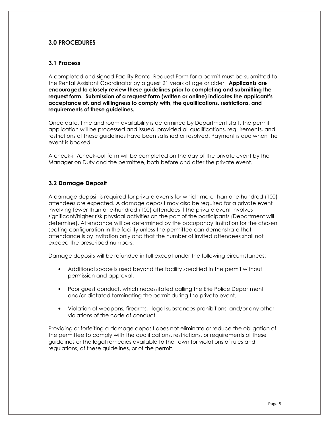# **3.0 PROCEDURES**

### **3.1 Process**

A completed and signed Facility Rental Request Form for a permit must be submitted to the Rental Assistant Coordinator by a guest 21 years of age or older. **Applicants are encouraged to closely review these guidelines prior to completing and submitting the request form. Submission of a request form (written or online) indicates the applicant's acceptance of, and willingness to comply with, the qualifications, restrictions, and requirements of these guidelines.** 

Once date, time and room availability is determined by Department staff, the permit application will be processed and issued, provided all qualifications, requirements, and restrictions of these guidelines have been satisfied or resolved. Payment is due when the event is booked.

A check-in/check-out form will be completed on the day of the private event by the Manager on Duty and the permittee, both before and after the private event.

# **3.2 Damage Deposit**

A damage deposit is required for private events for which more than one-hundred (100) attendees are expected. A damage deposit may also be required for a private event involving fewer than one-hundred (100) attendees if the private event involves significant/higher risk physical activities on the part of the participants (Department will determine). Attendance will be determined by the occupancy limitation for the chosen seating configuration in the facility unless the permittee can demonstrate that attendance is by invitation only and that the number of invited attendees shall not exceed the prescribed numbers.

Damage deposits will be refunded in full except under the following circumstances:

- Additional space is used beyond the facility specified in the permit without permission and approval.
- Poor guest conduct, which necessitated calling the Erie Police Department and/or dictated terminating the permit during the private event.
- Violation of weapons, firearms, illegal substances prohibitions, and/or any other violations of the code of conduct.

Providing or forfeiting a damage deposit does not eliminate or reduce the obligation of the permittee to comply with the qualifications, restrictions, or requirements of these guidelines or the legal remedies available to the Town for violations of rules and regulations, of these guidelines, or of the permit.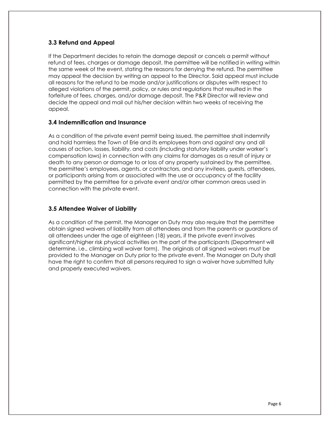# **3.3 Refund and Appeal**

If the Department decides to retain the damage deposit or cancels a permit without refund of fees, charges or damage deposit, the permittee will be notified in writing within the same week of the event, stating the reasons for denying the refund. The permittee may appeal the decision by writing an appeal to the Director. Said appeal must include all reasons for the refund to be made and/or justifications or disputes with respect to alleged violations of the permit, policy, or rules and regulations that resulted in the forfeiture of fees, charges, and/or damage deposit. The P&R Director will review and decide the appeal and mail out his/her decision within two weeks of receiving the appeal.

#### **3.4 Indemnification and Insurance**

As a condition of the private event permit being issued, the permittee shall indemnify and hold harmless the Town of Erie and its employees from and against any and all causes of action, losses, liability, and costs (including statutory liability under worker's compensation laws) in connection with any claims for damages as a result of injury or death to any person or damage to or loss of any property sustained by the permittee, the permittee's employees, agents, or contractors, and any invitees, guests, attendees, or participants arising from or associated with the use or occupancy of the facility permitted by the permittee for a private event and/or other common areas used in connection with the private event.

#### **3.5 Attendee Waiver of Liability**

As a condition of the permit, the Manager on Duty may also require that the permittee obtain signed waivers of liability from all attendees and from the parents or guardians of all attendees under the age of eighteen (18) years, if the private event involves significant/higher risk physical activities on the part of the participants (Department will determine. i.e., climbing wall waiver form). The originals of all signed waivers must be provided to the Manager on Duty prior to the private event. The Manager on Duty shall have the right to confirm that all persons required to sign a waiver have submitted fully and properly executed waivers.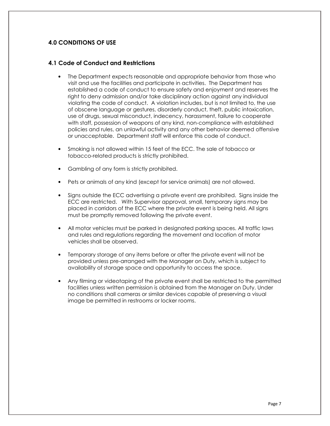# **4.0 CONDITIONS OF USE**

#### **4.1 Code of Conduct and Restrictions**

- The Department expects reasonable and appropriate behavior from those who visit and use the facilities and participate in activities. The Department has established a code of conduct to ensure safety and enjoyment and reserves the right to deny admission and/or take disciplinary action against any individual violating the code of conduct. A violation includes, but is not limited to, the use of obscene language or gestures, disorderly conduct, theft, public intoxication, use of drugs, sexual misconduct, indecency, harassment, failure to cooperate with staff, possession of weapons of any kind, non-compliance with established policies and rules, an unlawful activity and any other behavior deemed offensive or unacceptable. Department staff will enforce this code of conduct.
- Smoking is not allowed within 15 feet of the ECC. The sale of tobacco or tobacco-related products is strictly prohibited.
- Gambling of any form is strictly prohibited.
- Pets or animals of any kind (except for service animals) are not allowed.
- Signs outside the ECC advertising a private event are prohibited. Signs inside the ECC are restricted. With Supervisor approval, small, temporary signs may be placed in corridors of the ECC where the private event is being held. All signs must be promptly removed following the private event.
- All motor vehicles must be parked in designated parking spaces. All traffic laws and rules and regulations regarding the movement and location of motor vehicles shall be observed.
- Temporary storage of any items before or after the private event will not be provided unless pre-arranged with the Manager on Duty, which is subject to availability of storage space and opportunity to access the space.
- Any filming or videotaping of the private event shall be restricted to the permitted facilities unless written permission is obtained from the Manager on Duty. Under no conditions shall cameras or similar devices capable of preserving a visual image be permitted in restrooms or locker rooms.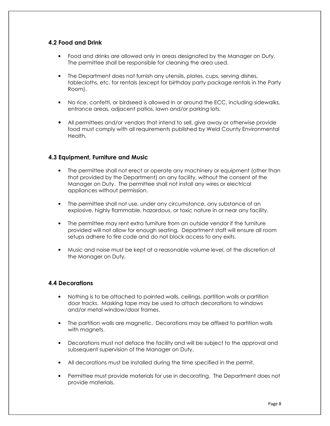# **4.2 Food and Drink**

- Food and drinks are allowed only in areas designated by the Manager on Duty. The permittee shall be responsible for cleaning the area used.
- The Department does not furnish any utensils, plates, cups, serving dishes, tablecloths, etc. for rentals (except for birthday party package rentals in the Party Room).
- No rice, confetti, or birdseed is allowed in or around the ECC, including sidewalks, entrance areas, adjacent patios, lawn and/or parking lots.
- All permittees and/or vendors that intend to sell, give away or otherwise provide food must comply with all requirements published by Weld County Environmental Health.

#### **4.3 Equipment, Furniture and Music**

- The permittee shall not erect or operate any machinery or equipment (other than that provided by the Department) on any facility, without the consent of the Manager on Duty. The permittee shall not install any wires or electrical appliances without permission.
- The permittee shall not use, under any circumstance, any substance of an explosive, highly flammable, hazardous, or toxic nature in or near any facility.
- The permittee may rent extra furniture from an outside vendor if the furniture provided will not allow for enough seating. Department staff will ensure all room setups adhere to fire code and do not block access to any exits.
- Music and noise must be kept at a reasonable volume level, at the discretion of the Manager on Duty.

#### **4.4 Decorations**

- Nothing is to be attached to painted walls, ceilings, partition walls or partition door tracks. Masking tape may be used to attach decorations to windows and/or metal window/door frames.
- The partition walls are magnetic. Decorations may be affixed to partition walls with magnets.
- Decorations must not deface the facility and will be subject to the approval and subsequent supervision of the Manager on Duty.
- All decorations must be installed during the time specified in the permit.
- Permittee must provide materials for use in decorating. The Department does not provide materials.